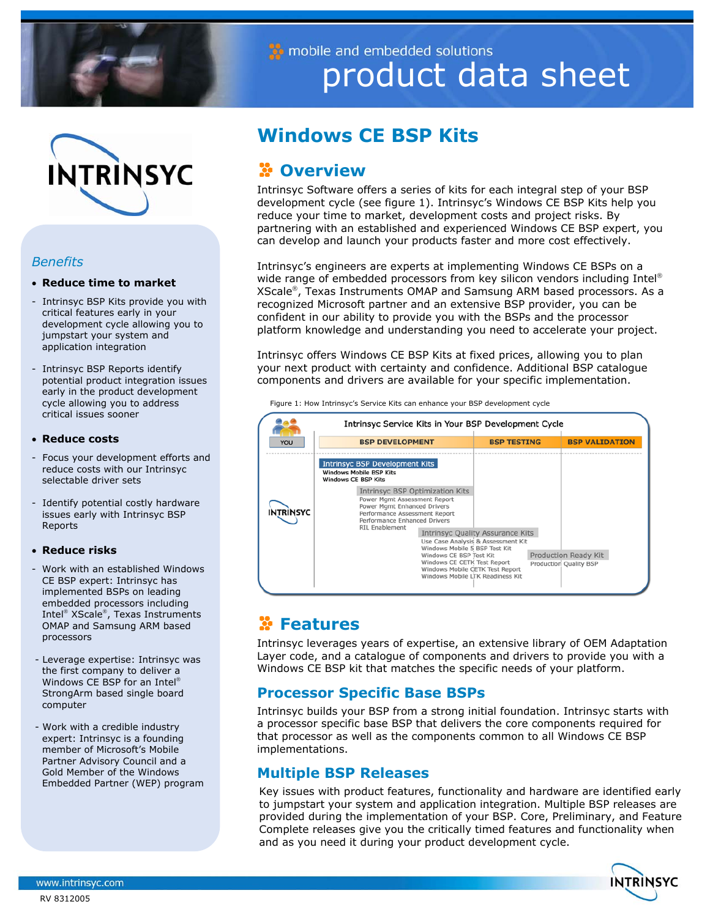

mobile and embedded solutions product data sheet



## *Benefits*

## • **Reduce time to market**

- Intrinsyc BSP Kits provide you with critical features early in your development cycle allowing you to jumpstart your system and application integration
- Intrinsyc BSP Reports identify potential product integration issues early in the product development cycle allowing you to address critical issues sooner

## • **Reduce costs**

- Focus your development efforts and reduce costs with our Intrinsyc selectable driver sets
- Identify potential costly hardware issues early with Intrinsyc BSP Reports

## • **Reduce risks**

- Work with an established Windows CE BSP expert: Intrinsyc has implemented BSPs on leading embedded processors including Intel<sup>®</sup> XScale<sup>®</sup>, Texas Instruments OMAP and Samsung ARM based processors
- Leverage expertise: Intrinsyc was the first company to deliver a Windows CE BSP for an Intel StrongArm based single board computer
- Work with a credible industry expert: Intrinsyc is a founding member of Microsoft's Mobile Partner Advisory Council and a Gold Member of the Windows Embedded Partner (WEP) program

# **Windows CE BSP Kits**

# *C* Overview

 partnering with an established and experienced Windows CE BSP expert, you Intrinsyc Software offers a series of kits for each integral step of your BSP development cycle (see figure 1). Intrinsyc's Windows CE BSP Kits help you reduce your time to market, development costs and project risks. By can develop and launch your products faster and more cost effectively.

Intrinsyc's engineers are experts at implementing Windows CE BSPs on a wide range of embedded processors from key silicon vendors including Intel® XScale®, Texas Instruments OMAP and Samsung ARM based processors. As a recognized Microsoft partner and an extensive BSP provider, you can be confident in our ability to provide you with the BSPs and the processor platform knowledge and understanding you need to accelerate your project.

Intrinsyc offers Windows CE BSP Kits at fixed prices, allowing you to plan your next product with certainty and confidence. Additional BSP catalogue components and drivers are available for your specific implementation.

|                  | Intrinsyc Service Kits in Your BSP Development Cycle                                                                                                                                            |                                                                               |                                                |
|------------------|-------------------------------------------------------------------------------------------------------------------------------------------------------------------------------------------------|-------------------------------------------------------------------------------|------------------------------------------------|
| YOU              | <b>BSP DEVELOPMENT</b>                                                                                                                                                                          | <b>BSP TESTING</b>                                                            | <b>BSP VALIDATION</b>                          |
|                  | <b>Intrinsyc BSP Development Kits</b><br><b>Windows Mobile BSP Kits</b><br><b>Windows CE BSP Kits</b>                                                                                           |                                                                               |                                                |
| <b>INTRINSYC</b> | <b>Intrinsyc BSP Optimization Kits</b><br>Power Mgmt Assessment Report<br>Power Mgmt Enhanced Drivers<br>Performance Assessment Report<br>Performance Enhanced Drivers<br><b>RIL Enablement</b> |                                                                               |                                                |
|                  | Windows Mobile 5 BSP Test Kit<br>Windows CE BSP Test Kit<br>Windows CE CETK Test Report<br>Windows Mobile CETK Test Report<br>Windows Mobile LTK Readiness Kit                                  | <b>Intrinsyc Quality Assurance Kits</b><br>Use Case Analysis & Assessment Kit | Production Ready Kit<br>Production Quality BSP |

Figure 1: How Intrinsyc's Service Kits can enhance your BSP development cycle

# **Features**

Intrinsyc leverages years of expertise, an extensive library of OEM Adaptation Layer code, and a catalogue of components and drivers to provide you with a Windows CE BSP kit that matches the specific needs of your platform.

# **Processor Specific Base BSPs**

Intrinsyc builds your BSP from a strong initial foundation. Intrinsyc starts with a processor specific base BSP that delivers the core components required for that processor as well as the components common to all Windows CE BSP implementations.

# **Multiple BSP Releases**

Key issues with product features, functionality and hardware are identified early to jumpstart your system and application integration. Multiple BSP releases are provided during the implementation of your BSP. Core, Preliminary, and Feature Complete releases give you the critically timed features and functionality when and as you need it during your product development cycle.